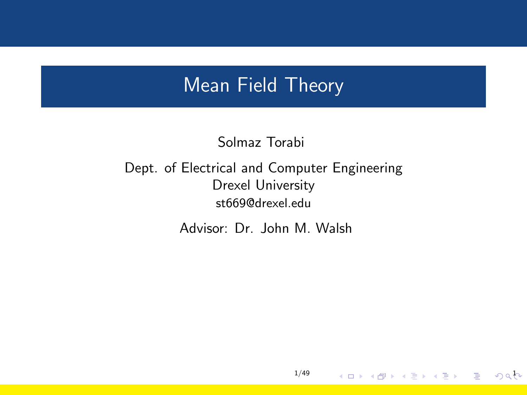### <span id="page-0-0"></span>Mean Field Theory

Solmaz Torabi

Dept. of Electrical and Computer Engineering Drexel University st669@drexel.edu

Advisor: Dr. John M. Walsh

1/49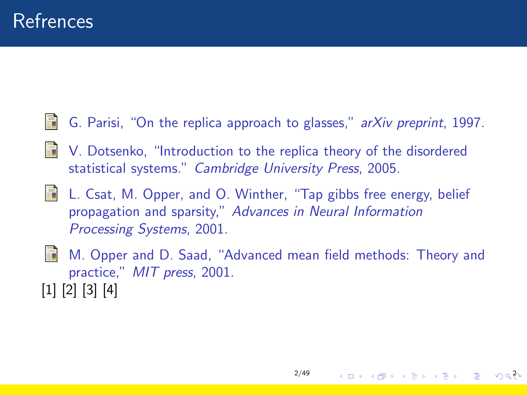- <span id="page-1-0"></span>G. Parisi, "On the replica approach to glasses," arXiv preprint, 1997.
- <span id="page-1-1"></span>V. Dotsenko, "Introduction to the replica theory of the disordered statistical systems." Cambridge University Press, 2005.
- <span id="page-1-2"></span>螶 L. Csat, M. Opper, and O. Winther, "Tap gibbs free energy, belief propagation and sparsity," Advances in Neural Information Processing Systems, 2001.
- <span id="page-1-3"></span>M. Opper and D. Saad, "Advanced mean field methods: Theory and practice," MIT press, 2001. [\[1\]](#page-1-0) [\[2\]](#page-1-1) [\[3\]](#page-1-2) [\[4\]](#page-1-3)

 $200$   $\equiv$   $200$   $\equiv$   $200$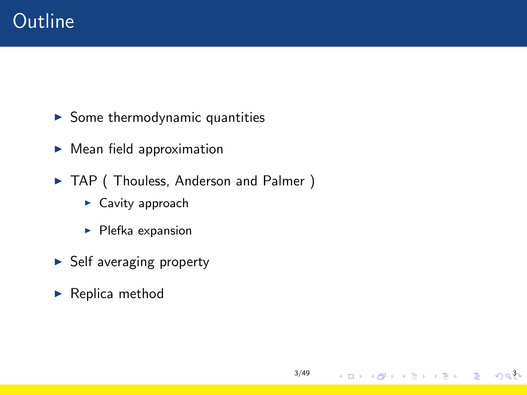- $\blacktriangleright$  Some thermodynamic quantities
- $\blacktriangleright$  Mean field approximation
- ▶ TAP ( Thouless, Anderson and Palmer )

[3/49](#page-0-0)

4 ロ → 4 @ → 4 블 → 4 블 → 트 → 9 Q ��

- $\blacktriangleright$  Cavity approach
- $\blacktriangleright$  Plefka expansion
- $\blacktriangleright$  Self averaging property
- $\blacktriangleright$  Replica method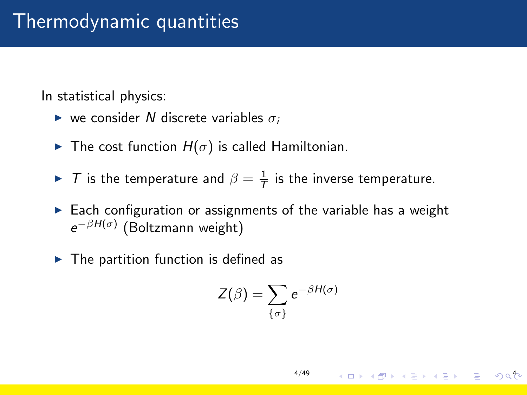# Thermodynamic quantities

In statistical physics:

- $\triangleright$  we consider N discrete variables  $\sigma_i$
- $\blacktriangleright$  The cost function  $H(\sigma)$  is called Hamiltonian.
- ► T is the temperature and  $\beta = \frac{1}{T}$  is the inverse temperature.
- $\triangleright$  Each configuration or assignments of the variable has a weight  $e^{-\beta H(\sigma)}$  (Boltzmann weight)
- $\blacktriangleright$  The partition function is defined as

$$
Z(\beta) = \sum_{\{\sigma\}} e^{-\beta H(\sigma)}
$$

 $4\Box$   $+$   $\Box$   $+$   $\Box$   $+$   $\Box$   $+$   $\Box$   $+$   $\Box$   $+$   $\Box$   $+$   $\Box$   $+$   $\Box$   $+$   $\Box$   $+$   $\Box$   $+$   $\Box$   $+$   $\Box$   $+$   $\Box$   $+$   $\Box$   $+$   $\Box$   $+$   $\Box$   $+$   $\Box$   $+$   $\Box$   $+$   $\Box$   $+$   $\Box$   $+$   $\Box$   $+$   $\Box$   $+$   $\Box$   $+$   $\Box$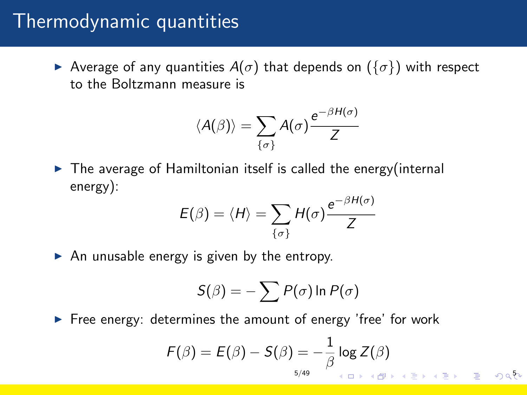### Thermodynamic quantities

Average of any quantities  $A(\sigma)$  that depends on  $(\{\sigma\})$  with respect to the Boltzmann measure is

$$
\langle A(\beta)\rangle = \sum_{\{\sigma\}} A(\sigma) \frac{e^{-\beta H(\sigma)}}{Z}
$$

 $\triangleright$  The average of Hamiltonian itself is called the energy(internal energy):

$$
E(\beta) = \langle H \rangle = \sum_{\{\sigma\}} H(\sigma) \frac{e^{-\beta H(\sigma)}}{Z}
$$

 $\triangleright$  An unusable energy is given by the entropy.

$$
S(\beta) = -\sum P(\sigma) \ln P(\sigma)
$$

 $\triangleright$  Free energy: determines the amount of energy 'free' for work

$$
F(\beta) = E(\beta) - S(\beta) = -\frac{1}{\beta} \log Z(\beta)
$$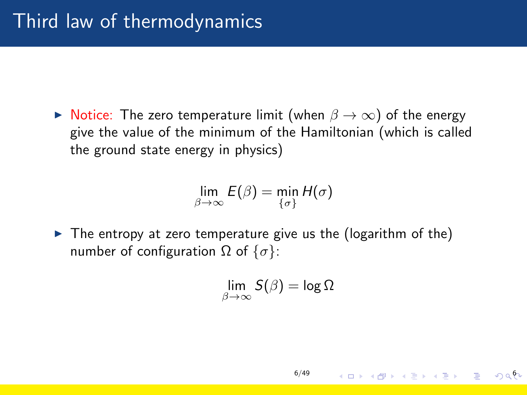$\triangleright$  Notice: The zero temperature limit (when  $\beta \to \infty$ ) of the energy give the value of the minimum of the Hamiltonian (which is called the ground state energy in physics)

$$
\lim_{\beta \to \infty} E(\beta) = \min_{\{\sigma\}} H(\sigma)
$$

 $\triangleright$  The entropy at zero temperature give us the (logarithm of the) number of configuration  $\Omega$  of  $\{\sigma\}$ :

$$
\lim_{\beta\to\infty} \mathcal{S}(\beta) = \log \Omega
$$

[6/49](#page-0-0)

K □ ▶ K @ ▶ K 할 ▶ K 할 ▶ . 할 → 9 q 한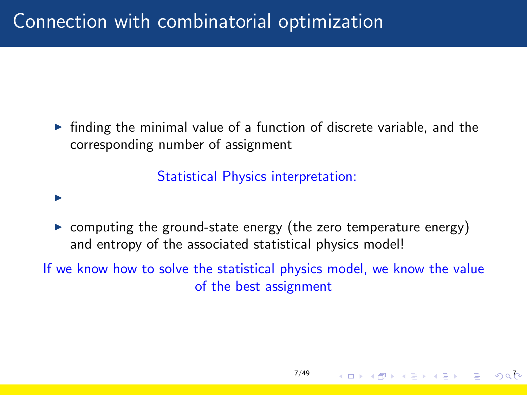$\triangleright$  finding the minimal value of a function of discrete variable, and the corresponding number of assignment

Statistical Physics interpretation:

#### I

 $\triangleright$  computing the ground-state energy (the zero temperature energy) and entropy of the associated statistical physics model!

If we know how to solve the statistical physics model, we know the value of the best assignment

[7/49](#page-0-0)

 $4$  O  $\rightarrow$   $4$   $\overline{7}$   $\rightarrow$   $4$   $\overline{2}$   $\rightarrow$   $4$   $\overline{2}$   $\rightarrow$   $\rightarrow$   $\rightarrow$   $\sqrt{2}$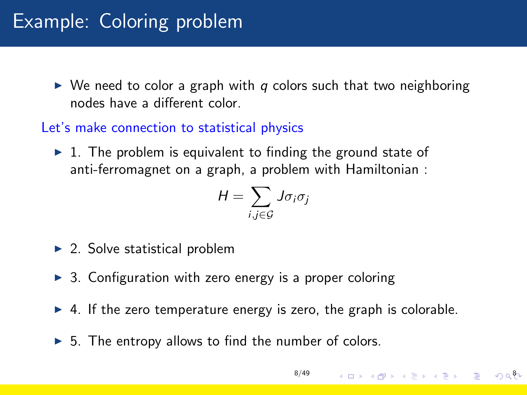### Example: Coloring problem

 $\triangleright$  We need to color a graph with q colors such that two neighboring nodes have a different color.

#### Let's make connection to statistical physics

 $\triangleright$  1. The problem is equivalent to finding the ground state of anti-ferromagnet on a graph, a problem with Hamiltonian :

$$
H = \sum_{i,j \in \mathcal{G}} J \sigma_i \sigma_j
$$

- $\triangleright$  2. Solve statistical problem
- $\triangleright$  3. Configuration with zero energy is a proper coloring
- $\triangleright$  4. If the zero temperature energy is zero, the graph is colorable.
- $\triangleright$  5. The entropy allows to find the number of colors.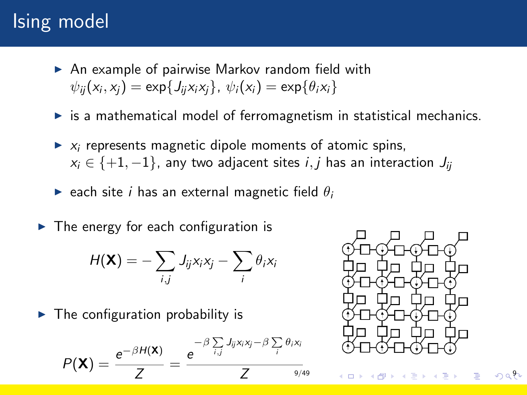# Ising model

- $\triangleright$  An example of pairwise Markov random field with  $\psi_{ij}(x_i, x_j) = \exp\{J_{ij}x_i x_j\}, \ \psi_i(x_i) = \exp\{\theta_i x_i\}$
- $\triangleright$  is a mathematical model of ferromagnetism in statistical mechanics.
- $\triangleright$   $x_i$  represents magnetic dipole moments of atomic spins,  $x_i \in \{+1, -1\}$ , any two adjacent sites  $i, j$  has an interaction  $J_{ii}$
- riangleright each site i has an external magnetic field  $\theta_i$
- $\triangleright$  The energy for each configuration is

$$
H(\mathbf{X}) = -\sum_{i,j} J_{ij}x_i x_j - \sum_i \theta_i x_i
$$

 $\blacktriangleright$  The configuration probability is

$$
P(\mathbf{X}) = \frac{e^{-\beta H(\mathbf{X})}}{Z} = \frac{e^{-\beta \sum_{i,j} J_{ij} x_i x_j - \beta \sum_{i} \theta_i x_i}}{Z}
$$

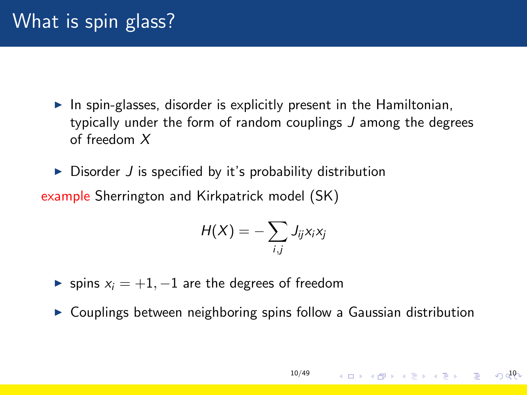- $\blacktriangleright$  In spin-glasses, disorder is explicitly present in the Hamiltonian, typically under the form of random couplings J among the degrees of freedom X
- $\triangleright$  Disorder J is specified by it's probability distribution example Sherrington and Kirkpatrick model (SK)

$$
H(X)=-\sum_{i,j}J_{ij}x_ix_j
$$

- $\triangleright$  spins  $x_i = +1, -1$  are the degrees of freedom
- $\triangleright$  Couplings between neighboring spins follow a Gaussian distribution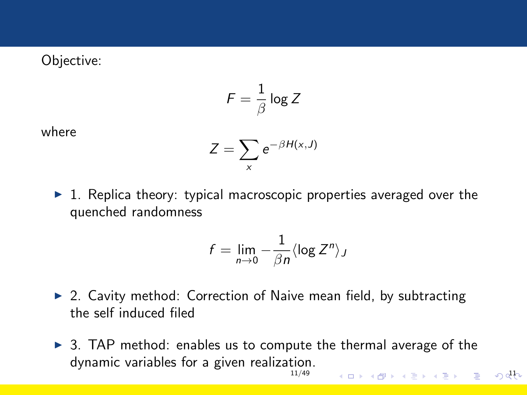#### Objective:

$$
\digamma = \frac{1}{\beta}\log Z
$$

where

$$
Z=\sum_{x}e^{-\beta H(x,J)}
$$

 $\blacktriangleright$  1. Replica theory: typical macroscopic properties averaged over the quenched randomness

$$
f=\lim_{n\to 0}-\frac{1}{\beta n}\langle \log Z^n\rangle_J
$$

- $\triangleright$  2. Cavity method: Correction of Naive mean field, by subtracting the self induced filed
- $\triangleright$  3. TAP method: enables us to compute the thermal average of the dynamic variables for [a given realization.](#page-0-0) 11/49  $(1)$   $(1)$   $(1)$   $(1)$   $(1)$   $(1)$   $(1)$   $(1)$   $(1)$   $(1)$   $(1)$   $(1)$   $(1)$   $(1)$   $(1)$   $(1)$   $(1)$   $(1)$   $(1)$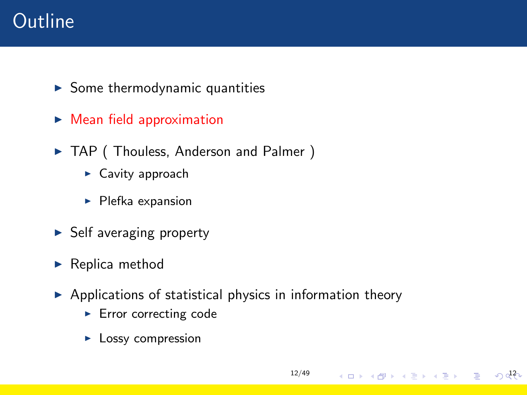# **Outline**

- $\blacktriangleright$  Some thermodynamic quantities
- $\triangleright$  Mean field approximation
- ▶ TAP ( Thouless, Anderson and Palmer )
	- $\blacktriangleright$  Cavity approach
	- $\blacktriangleright$  Plefka expansion
- $\triangleright$  Self averaging property
- $\blacktriangleright$  Replica method
- $\triangleright$  Applications of statistical physics in information theory

[12/49](#page-0-0)

 $(1, 1)$   $(1, 1)$   $(1, 1)$   $(1, 1)$   $(1, 1)$   $(1, 1)$   $(1, 1)$   $(1, 1)$   $(1, 1)$   $(1, 1)$   $(1, 1)$ 

- $\blacktriangleright$  Error correcting code
- $\blacktriangleright$  Lossy compression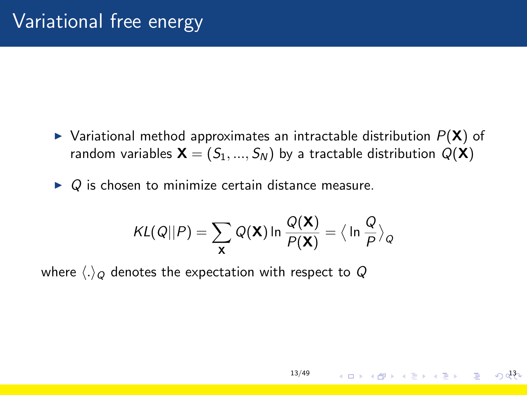- $\triangleright$  Variational method approximates an intractable distribution  $P(X)$  of random variables  $\mathbf{X} = (S_1, ..., S_N)$  by a tractable distribution  $Q(\mathbf{X})$
- $\triangleright$  Q is chosen to minimize certain distance measure.

$$
KL(Q||P) = \sum_{\mathbf{X}} Q(\mathbf{X}) \ln \frac{Q(\mathbf{X})}{P(\mathbf{X})} = \langle \ln \frac{Q}{P} \rangle_Q
$$

where  $\langle .\rangle_Q$  denotes the expectation with respect to Q

 $14\pi$   $13\pi$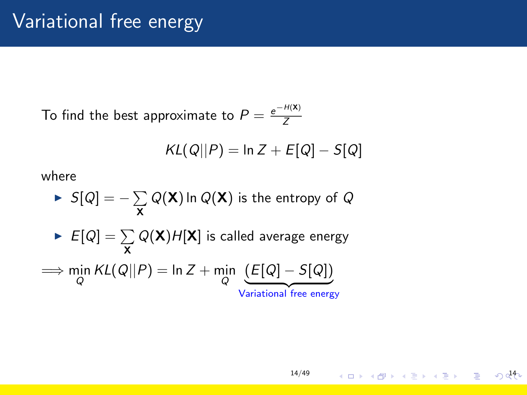To find the best approximate to  $P = \frac{e^{-H(X)}}{Z}$ Z

$$
KL(Q||P) = \ln Z + E[Q] - S[Q]
$$

where

► 
$$
S[Q] = -\sum_{\mathbf{X}} Q(\mathbf{X}) \ln Q(\mathbf{X})
$$
 is the entropy of  $Q$   
\n►  $E[Q] = \sum_{\mathbf{X}} Q(\mathbf{X}) H[\mathbf{X}]$  is called average energy  
\n⇒  $\min_{Q} KL(Q||P) = \ln Z + \min_{Q} \underbrace{(E[Q] - S[Q])}_{\text{Variational free energy}}$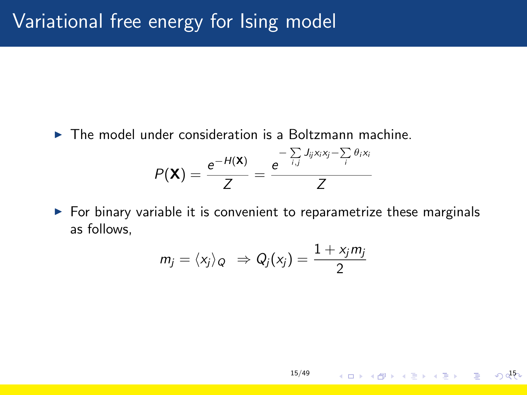$\triangleright$  The model under consideration is a Boltzmann machine.

$$
P(\mathbf{X}) = \frac{e^{-H(\mathbf{X})}}{Z} = \frac{e^{-\sum_{i,j} J_{ij}x_i x_j - \sum_{i} \theta_i x_i}}{Z}
$$

 $\triangleright$  For binary variable it is convenient to reparametrize these marginals as follows,

$$
m_j = \langle x_j \rangle_Q \Rightarrow Q_j(x_j) = \frac{1 + x_j m_j}{2}
$$

[15/49](#page-0-0)

 $150$   $(150)$   $(150)$   $(150)$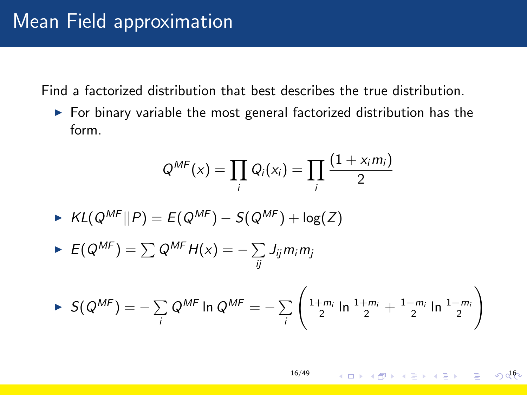Find a factorized distribution that best describes the true distribution.

 $\triangleright$  For binary variable the most general factorized distribution has the form.

$$
Q^{MF}(x) = \prod_i Q_i(x_i) = \prod_i \frac{(1+x_i m_i)}{2}
$$

$$
\blacktriangleright \; KL(Q^{MF}||P) = E(Q^{MF}) - S(Q^{MF}) + \log(Z)
$$

$$
\blacktriangleright \ E(Q^{MF}) = \sum Q^{MF} H(x) = -\sum_{ij} J_{ij} m_i m_j
$$

$$
\blacktriangleright S(Q^{MF}) = -\sum_{i} Q^{MF} \ln Q^{MF} = -\sum_{i} \left( \frac{1+m_i}{2} \ln \frac{1+m_i}{2} + \frac{1-m_i}{2} \ln \frac{1-m_i}{2} \right)
$$

[16/49](#page-0-0)  $16 + 16 + 12 + 12 + 12 = 0$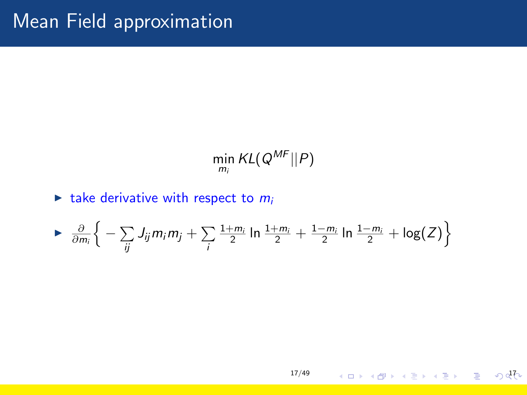$$
\min_{m_i} KL(Q^{MF}||P)
$$

#### $\blacktriangleright$  take derivative with respect to  $m_i$

$$
\triangleright \frac{\partial}{\partial m_i}\bigg\{-\sum_{ij}J_{ij}m_im_j+\sum_i\frac{1+m_i}{2}\ln\frac{1+m_i}{2}+\frac{1-m_i}{2}\ln\frac{1-m_i}{2}+\log(Z)\bigg\}
$$

1750 - 4 17 4 17 4 17 4 17 4 17 4 17 18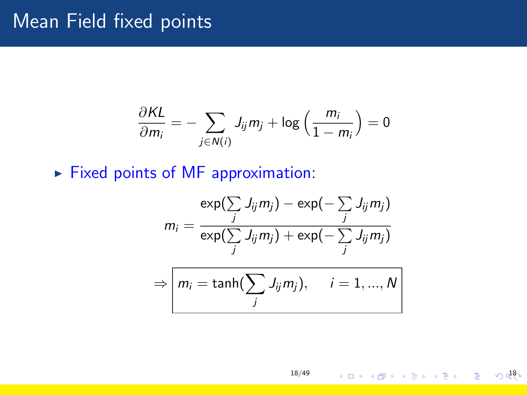#### Mean Field fixed points

$$
\frac{\partial KL}{\partial m_i} = -\sum_{j \in N(i)} J_{ij} m_j + \log \left( \frac{m_i}{1 - m_i} \right) = 0
$$

 $\blacktriangleright$  Fixed points of MF approximation:

$$
m_i = \frac{\exp(\sum_j J_{ij}m_j) - \exp(-\sum_j J_{ij}m_j)}{\exp(\sum_j J_{ij}m_j) + \exp(-\sum_j J_{ij}m_j)}
$$

$$
\Rightarrow m_i = \tanh(\sum_j J_{ij}m_j), \quad i = 1, ..., N
$$

[18/49](#page-0-0)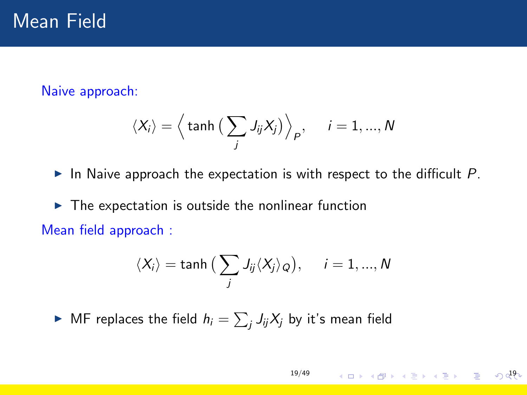Naive approach:

$$
\langle X_i \rangle = \Big\langle \tanh \big( \sum_j J_{ij} X_j \big) \Big\rangle_P, \quad i = 1, ..., N
$$

In Naive approach the expectation is with respect to the difficult  $P$ .

 $\triangleright$  The expectation is outside the nonlinear function Mean field approach :

$$
\langle X_i \rangle = \tanh \big( \sum_j J_{ij} \langle X_j \rangle_Q \big), \quad i = 1, ..., N
$$

 $\blacktriangleright$  MF replaces the field  $h_i = \sum_j J_{ij}X_j$  by it's mean field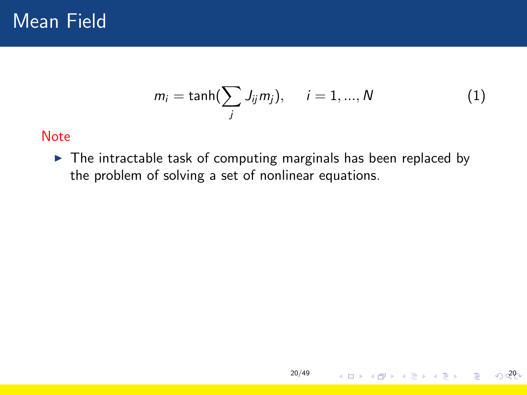

$$
m_i = \tanh(\sum_j J_{ij}m_j), \quad i = 1, ..., N
$$
 (1)

[20/49](#page-0-0)

4 ロ → 4 @ → 4 블 → 4 블 → 1 블 → 6 020

#### **Note**

 $\blacktriangleright$  The intractable task of computing marginals has been replaced by the problem of solving a set of nonlinear equations.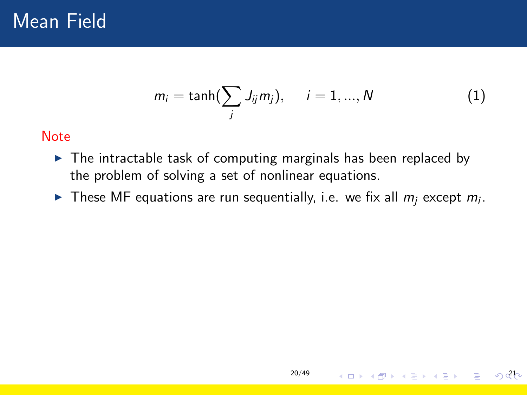$$
m_i = \tanh(\sum_j J_{ij}m_j), \quad i = 1,...,N
$$
 (1)

#### **Note**

- $\triangleright$  The intractable task of computing marginals has been replaced by the problem of solving a set of nonlinear equations.
- These MF equations are run sequentially, i.e. we fix all  $m_j$  except  $m_i$ .

[20/49](#page-0-0)

4 ロ → 4 @ → 4 를 → 4 를 → \_ 를 → 6 0<sup>21</sup>0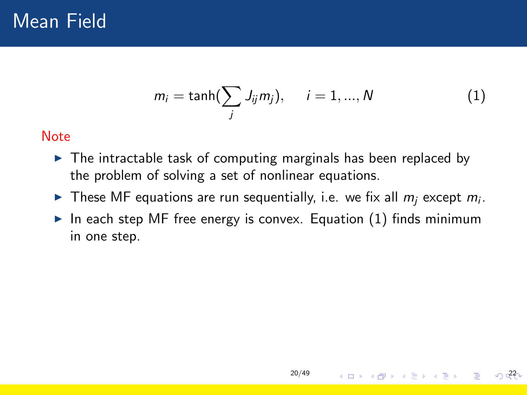$$
m_i = \tanh(\sum_j J_{ij}m_j), \quad i = 1, ..., N
$$
 (1)

#### Note

- $\triangleright$  The intractable task of computing marginals has been replaced by the problem of solving a set of nonlinear equations.
- These MF equations are run sequentially, i.e. we fix all  $m_j$  except  $m_i$ .
- In each step MF free energy is convex. Equation  $(1)$  finds minimum in one step.

[20/49](#page-0-0)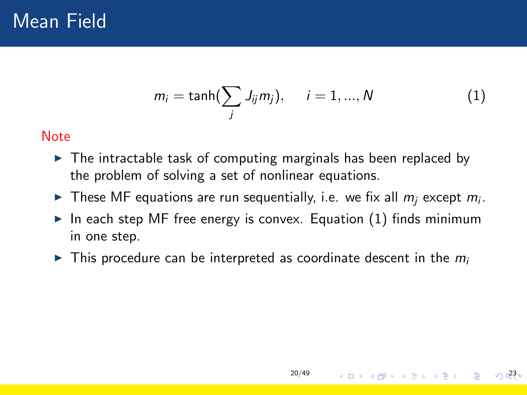$$
m_i = \tanh(\sum_j J_{ij}m_j), \quad i = 1, ..., N
$$
 (1)

#### Note

- $\triangleright$  The intractable task of computing marginals has been replaced by the problem of solving a set of nonlinear equations.
- These MF equations are run sequentially, i.e. we fix all  $m_j$  except  $m_i$ .
- In each step MF free energy is convex. Equation  $(1)$  finds minimum in one step.
- $\triangleright$  This procedure can be interpreted as coordinate descent in the  $m_i$

[20/49](#page-0-0)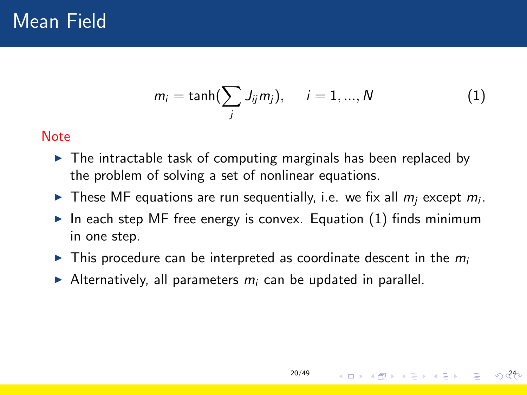$$
m_i = \tanh(\sum_j J_{ij}m_j), \quad i = 1, ..., N
$$
 (1)

#### **Note**

- $\triangleright$  The intractable task of computing marginals has been replaced by the problem of solving a set of nonlinear equations.
- These MF equations are run sequentially, i.e. we fix all  $m_j$  except  $m_i$ .
- In each step MF free energy is convex. Equation  $(1)$  finds minimum in one step.

[20/49](#page-0-0)

- $\triangleright$  This procedure can be interpreted as coordinate descent in the  $m_i$
- Alternatively, all parameters  $m_i$  can be updated in parallel.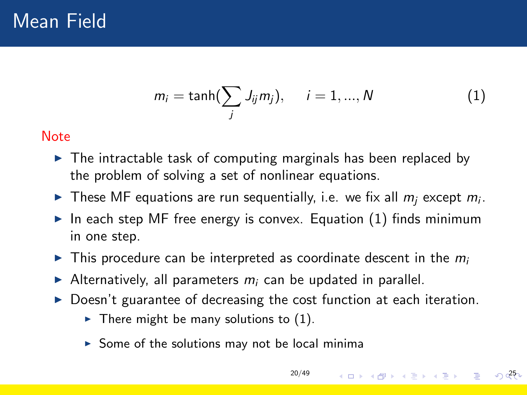$$
m_i = \tanh(\sum_j J_{ij}m_j), \quad i = 1, ..., N
$$
 (1)

#### <span id="page-24-0"></span>**Note**

- $\triangleright$  The intractable task of computing marginals has been replaced by the problem of solving a set of nonlinear equations.
- These MF equations are run sequentially, i.e. we fix all  $m_j$  except  $m_i$ .
- In each step MF free energy is convex. Equation  $(1)$  finds minimum in one step.
- $\triangleright$  This procedure can be interpreted as coordinate descent in the  $m_i$
- Alternatively, all parameters  $m_i$  can be updated in parallel.
- $\triangleright$  Doesn't guarantee of decreasing the cost function at each iteration.

[20/49](#page-0-0)

 $25^{\circ}$   $(1)$   $(2)$   $(3)$   $(4)$   $(5)$   $(2)$   $(5)$   $(5)$   $(5)$   $(5)$   $(5)$   $(5)$   $(5)$   $(5)$   $(5)$   $(5)$   $(5)$   $(5)$   $(5)$   $(5)$   $(5)$   $(5)$   $(5)$   $(5)$   $(5)$   $(5)$   $(5)$   $(5)$   $(5)$   $(5)$   $(5)$   $(5)$   $(5)$   $(5)$   $(5)$   $($ 

- $\triangleright$  There might be many solutions to (1).
- $\triangleright$  Some of the solutions may not be local minima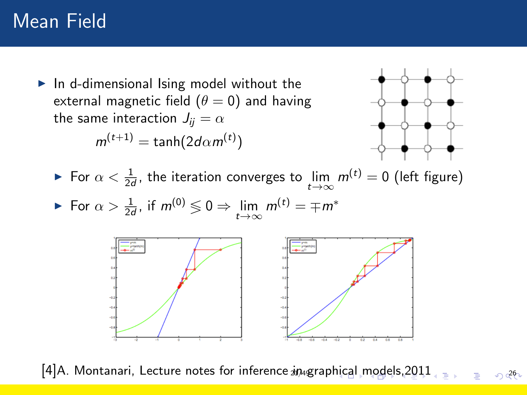<span id="page-25-0"></span> $\blacktriangleright$  In d-dimensional Ising model without the external magnetic field  $(\theta = 0)$  and having the same interaction  $J_{ii} = \alpha$ 

$$
m^{(t+1)} = \tanh(2d\alpha m^{(t)})
$$



► For  $\alpha < \frac{1}{2d}$ , the iteration converges to  $\lim_{t \to \infty} m^{(t)} = 0$  (left figure) For  $\alpha > \frac{1}{2d}$ , if  $m^{(0)} \lessgtr 0 \Rightarrow \lim_{t \to \infty} m^{(t)} = \mp m^*$ 



[\[4\]](#page-1-3)A. Montanari, Lecture notes for inference  $in_{4}$ grap[hic](#page-24-0)a[l](#page-26-0) [m](#page-24-0)[ode](#page-25-0)[ls](#page-26-0), 2[011](#page-56-0) 26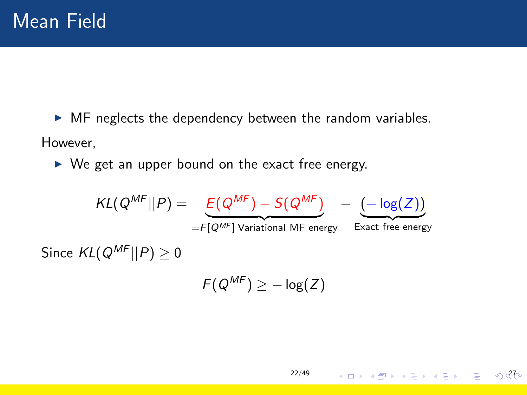<span id="page-26-0"></span> $\triangleright$  MF neglects the dependency between the random variables. However,

 $\triangleright$  We get an upper bound on the exact free energy.

$$
KL(Q^{MF}||P) = \underbrace{E(Q^{MF}) - S(Q^{MF})}_{=F[Q^{MF}] \text{ Variational MF energy}} - \underbrace{(-\log(Z))}_{\text{Exact free energy}}
$$
\n
$$
Since \ KL(Q^{MF}||P) \ge 0
$$

$$
F(Q^{MF})\geq -\log(Z)
$$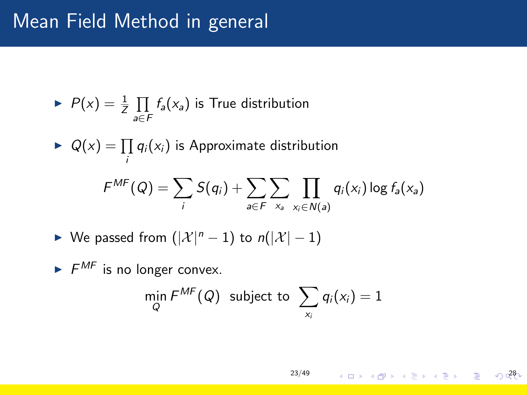### Mean Field Method in general

$$
\blacktriangleright \ P(x) = \frac{1}{Z} \prod_{a \in F} f_a(x_a)
$$
 is True distribution

$$
\blacktriangleright \ Q(x) = \prod_i q_i(x_i) \text{ is Approximate distribution}
$$

$$
F^{MF}(Q) = \sum_i S(q_i) + \sum_{a \in F} \sum_{x_a} \prod_{x_i \in N(a)} q_i(x_i) \log f_a(x_a)
$$

 $\triangleright$  We passed from  $(|\mathcal{X}|^n - 1)$  to  $n(|\mathcal{X}| - 1)$ 

 $\blacktriangleright$   $F^{MF}$  is no longer convex.  $\mathop{\mathsf{min}}\limits_{Q} F^{\mathsf{MF}}(Q)$  subject to  $\sum$ xi  $q_i(x_i) = 1$ 

$$
23/49 \qquad \qquad \overline{11} \qquad \overline{12} \qquad \overline{13} \qquad \overline{14} \qquad \overline{15} \qquad \overline{16} \qquad \overline{17} \qquad \overline{18} \qquad \overline{19} \qquad \overline{10} \qquad \overline{28}
$$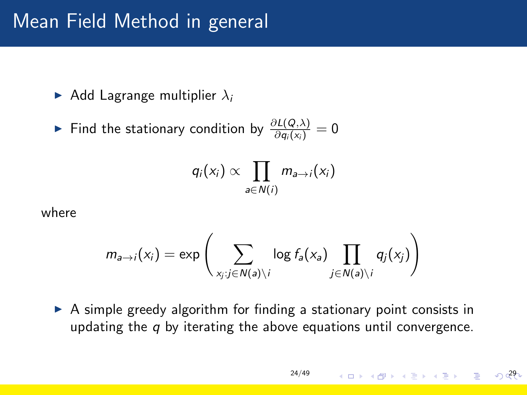#### Mean Field Method in general

- Add Lagrange multiplier  $\lambda_i$
- ► Find the stationary condition by  $\frac{\partial L(Q,\lambda)}{\partial q_i(x_i)} = 0$

$$
q_i(x_i) \propto \prod_{a \in N(i)} m_{a \to i}(x_i)
$$

where

$$
m_{a\to i}(x_i) = \exp\left(\sum_{x_j:j\in N(a)\setminus i} \log f_a(x_a) \prod_{j\in N(a)\setminus i} q_j(x_j)\right)
$$

 $\triangleright$  A simple greedy algorithm for finding a stationary point consists in updating the  $q$  by iterating the above equations until convergence.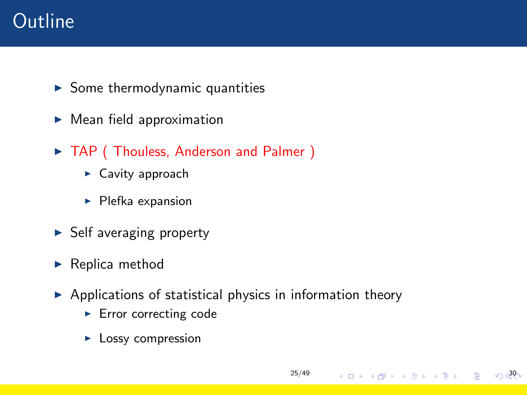# **Outline**

- $\blacktriangleright$  Some thermodynamic quantities
- $\blacktriangleright$  Mean field approximation
- $\triangleright$  TAP (Thouless, Anderson and Palmer)
	- $\blacktriangleright$  Cavity approach
	- $\blacktriangleright$  Plefka expansion
- $\triangleright$  Self averaging property
- $\blacktriangleright$  Replica method
- $\triangleright$  Applications of statistical physics in information theory

[25/49](#page-0-0)

- $\blacktriangleright$  Error correcting code
- $\blacktriangleright$  Lossy compression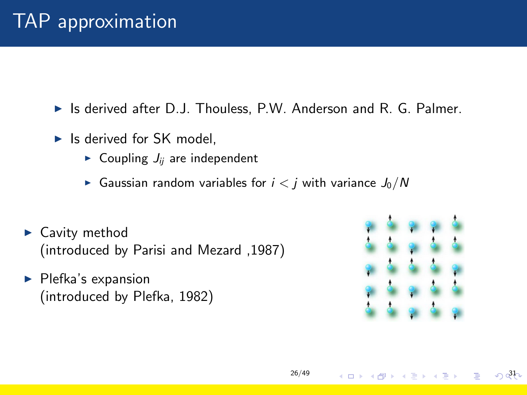$\triangleright$  Is derived after D.J. Thouless, P.W. Anderson and R. G. Palmer.

- $\blacktriangleright$  Is derived for SK model.
	- $\triangleright$  Coupling  $J_{ii}$  are independent
	- Gaussian random variables for  $i < j$  with variance  $J_0/N$
- $\blacktriangleright$  Cavity method (introduced by Parisi and Mezard ,1987)
- $\blacktriangleright$  Plefka's expansion (introduced by Plefka, 1982)



 $\Omega$ <sub>0</sub>3<sub>1</sub>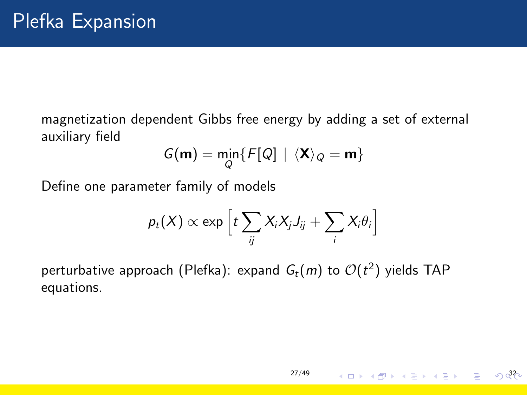magnetization dependent Gibbs free energy by adding a set of external auxiliary field

$$
G(\mathbf{m}) = \min_{Q} \{ F[Q] \mid \langle \mathbf{X} \rangle_Q = \mathbf{m} \}
$$

Define one parameter family of models

$$
p_t(X) \propto \exp\left[t\sum_{ij} X_i X_j J_{ij} + \sum_i X_i \theta_i\right]
$$

[27/49](#page-0-0)

32

perturbative approach (Plefka): expand  $\mathit{G}_{t}(m)$  to  $\mathcal{O}(t^2)$  yields <code>TAP</code> equations.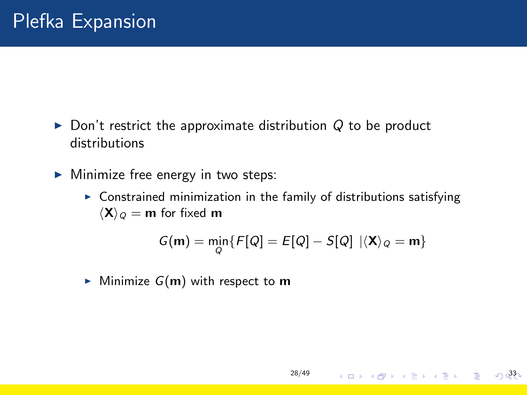- $\triangleright$  Don't restrict the approximate distribution Q to be product distributions
- $\triangleright$  Minimize free energy in two steps:
	- $\triangleright$  Constrained minimization in the family of distributions satisfying  $\langle X \rangle_{\mathcal{Q}} = m$  for fixed m

$$
G(\mathbf{m}) = \min_{Q} \{ F[Q] = E[Q] - S[Q] \mid \langle \mathbf{X} \rangle_{Q} = \mathbf{m} \}
$$

[28/49](#page-0-0)

33

 $\blacktriangleright$  Minimize  $G(m)$  with respect to m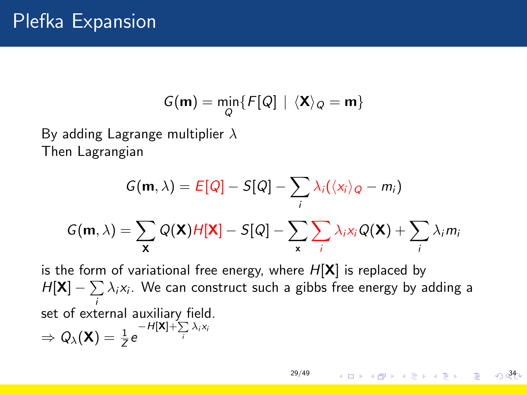# Plefka Expansion

$$
G(\mathbf{m}) = \min_{Q} \{ F[Q] \mid \langle \mathbf{X} \rangle_Q = \mathbf{m} \}
$$

By adding Lagrange multiplier  $\lambda$ Then Lagrangian

$$
G(\mathbf{m}, \lambda) = E[Q] - S[Q] - \sum_{i} \lambda_{i}(\langle x_{i} \rangle_{Q} - m_{i})
$$

$$
G(\mathbf{m}, \lambda) = \sum_{\mathbf{x}} Q(\mathbf{x}) H[\mathbf{x}] - S[Q] - \sum_{\mathbf{x}} \sum_{i} \lambda_{i} x_{i} Q(\mathbf{x}) + \sum_{i} \lambda_{i} m_{i}
$$

is the form of variational free energy, where  $H[X]$  is replaced by  $H[\mathbf{X}] - \sum \lambda_i \mathsf{x}_i.$  We can construct such a gibbs free energy by adding a i set of external auxiliary field.  $\Rightarrow Q_{\lambda}(\mathbf{X}) = \frac{1}{Z}e^{-H[\mathbf{X}]+\sum\limits_{i}\lambda_{i}X_{i}}$ 

[29/49](#page-0-0)

3 미 X 3 D X 3 D X 3 D X 3 D X 3 D X 3 D X 3 D X 3 D X 2 D X 2 D X 2 D X 2 D X 2 D X 2 D X 2 D X 2 D X 2 D X 2 D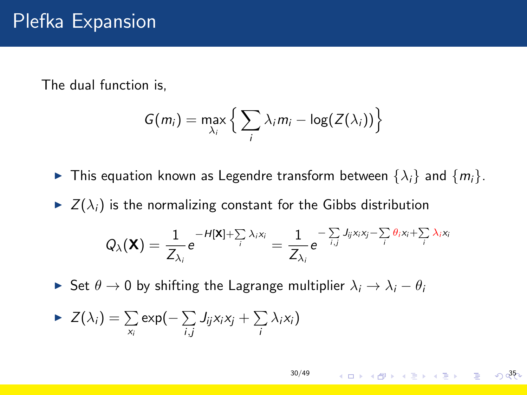The dual function is,

$$
G(m_i) = \max_{\lambda_i} \left\{ \sum_i \lambda_i m_i - \log(Z(\lambda_i)) \right\}
$$

- **Fi** This equation known as Legendre transform between  $\{\lambda_i\}$  and  $\{m_i\}$ .
- $\blacktriangleright$   $Z(\lambda_i)$  is the normalizing constant for the Gibbs distribution

$$
Q_{\lambda}(\mathbf{X}) = \frac{1}{Z_{\lambda_i}} e^{-H[\mathbf{X}] + \sum_i \lambda_i x_i} = \frac{1}{Z_{\lambda_i}} e^{-\sum_i J_{ij} x_i x_j - \sum_i \theta_i x_i + \sum_i \lambda_i x_i}
$$

 $\triangleright$  Set  $\theta \to 0$  by shifting the Lagrange multiplier  $\lambda_i \to \lambda_i - \theta_i$ 

$$
\blacktriangleright Z(\lambda_i) = \sum_{x_i} \exp\left(-\sum_{i,j} J_{ij} x_i x_j + \sum_i \lambda_i x_i\right)
$$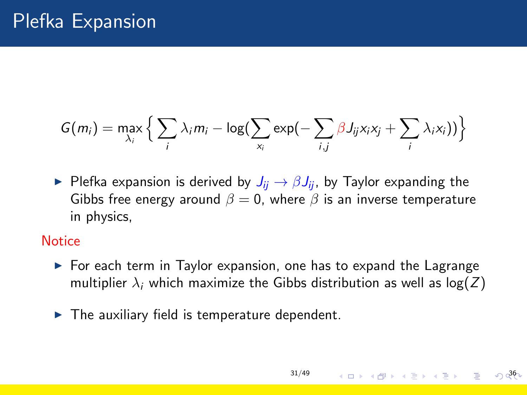$$
G(m_i) = \max_{\lambda_i} \left\{ \sum_i \lambda_i m_i - \log(\sum_{x_i} \exp(-\sum_{i,j} \beta J_{ij} x_i x_j + \sum_i \lambda_i x_i)) \right\}
$$

**Plefka expansion is derived by**  $J_{ii} \rightarrow \beta J_{ii}$ , by Taylor expanding the Gibbs free energy around  $\beta = 0$ , where  $\beta$  is an inverse temperature in physics,

#### **Notice**

 $\triangleright$  For each term in Taylor expansion, one has to expand the Lagrange multiplier  $\lambda_i$  which maximize the Gibbs distribution as well as  $log(Z)$ 

[31/49](#page-0-0)

 $36$ 

 $\blacktriangleright$  The auxiliary field is temperature dependent.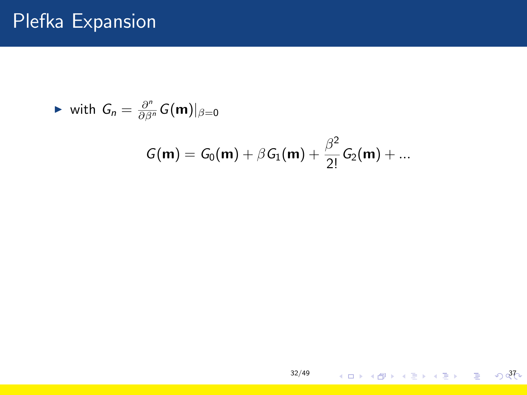$$
\blacktriangleright \text{ with } G_n = \frac{\partial^n}{\partial \beta^n} G(m)|_{\beta=0}
$$

$$
G({\bf m}) = G_0({\bf m}) + \beta G_1({\bf m}) + \frac{\beta^2}{2!} G_2({\bf m}) + ...
$$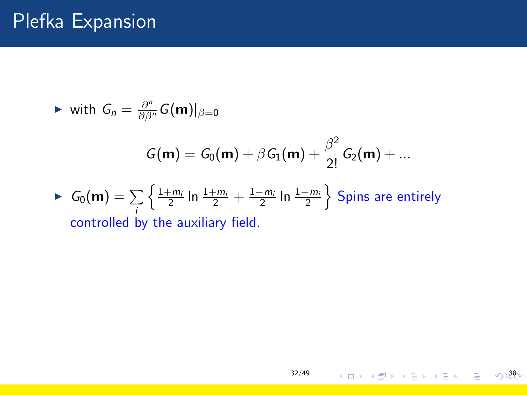► with  $G_n = \frac{\partial^n}{\partial \beta^n} G(m)|_{\beta=0}$ 

$$
G(m) = G_0(m) + \beta G_1(m) + \frac{\beta^2}{2!} G_2(m) + ...
$$

• 
$$
G_0(m) = \sum_{i} \left\{ \frac{1+m_i}{2} \ln \frac{1+m_i}{2} + \frac{1-m_i}{2} \ln \frac{1-m_i}{2} \right\}
$$
 Spins are entirely  
controlled by the auxiliary field.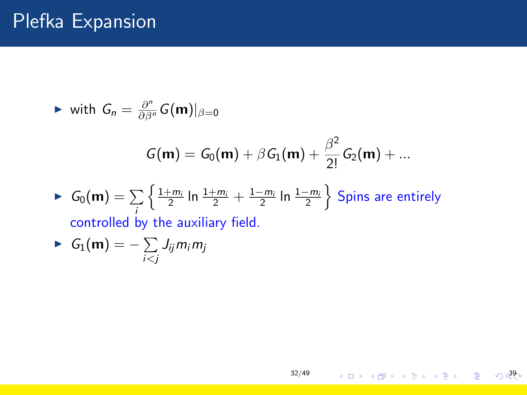► with  $G_n = \frac{\partial^n}{\partial \beta^n} G(m)|_{\beta=0}$ 

i<j

$$
G(m) = G_0(m) + \beta G_1(m) + \frac{\beta^2}{2!} G_2(m) + ...
$$

[32/49](#page-0-0)

399 - 499 - 499 - 499 - 490 - 490 - 490 - 490 - 490 - 490 - 490 - 490 - 490 - 490 - 490 - 490 - 490 - 490 - 490 - 490 - 490 - 490 - 490 - 490 - 490 - 490 - 490 - 490 - 490 - 490 - 490 - 490 - 490 - 490 - 490 - 490 - 490

► 
$$
G_0(\mathbf{m}) = \sum_i \left\{ \frac{1+m_i}{2} \ln \frac{1+m_i}{2} + \frac{1-m_i}{2} \ln \frac{1-m_i}{2} \right\}
$$
 Spins are entirely  
controlled by the auxiliary field.  
▶  $G_1(\mathbf{m}) = -\sum J_{ij} m_i m_j$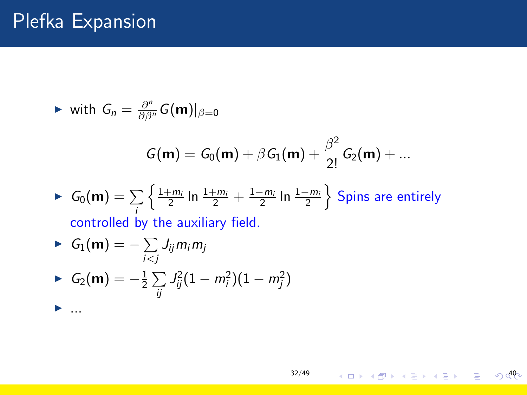► with  $G_n = \frac{\partial^n}{\partial \beta^n} G(m)|_{\beta=0}$ 

$$
G(m) = G_0(m) + \beta G_1(m) + \frac{\beta^2}{2!} G_2(m) + ...
$$

► 
$$
G_0(\mathbf{m}) = \sum_{i} \left\{ \frac{1+m_i}{2} \ln \frac{1+m_i}{2} + \frac{1-m_i}{2} \ln \frac{1-m_i}{2} \right\}
$$
 Spins are entirely  
controlled by the auxiliary field.

► 
$$
G_1(m) = -\sum_{i < j} J_{ij} m_i m_j
$$
  
\n►  $G_2(m) = -\frac{1}{2} \sum_{ij} J_{ij}^2 (1 - m_i^2)(1 - m_j^2)$ 

**4 ロ > 4 @ > 4 블 > 4 블 > - 블 - ⊙ d<sup>0</sup>(**\*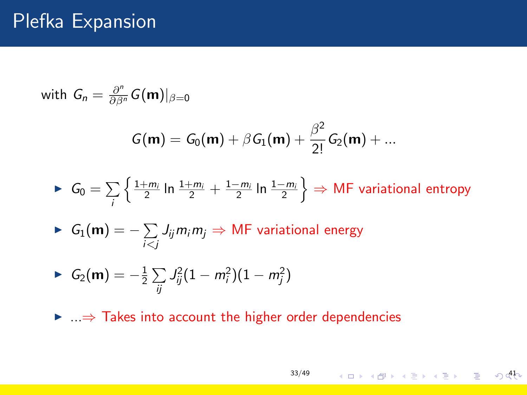# Plefka Expansion

with 
$$
G_n = \frac{\partial^n}{\partial \beta^n} G(\mathbf{m})|_{\beta=0}
$$
  
\n
$$
G(\mathbf{m}) = G_0(\mathbf{m}) + \beta G_1(\mathbf{m}) + \frac{\beta^2}{2!} G_2(\mathbf{m}) + ...
$$
\n
$$
\triangleright G_0 = \sum_i \left\{ \frac{1 + m_i}{2} \ln \frac{1 + m_i}{2} + \frac{1 - m_i}{2} \ln \frac{1 - m_i}{2} \right\} \Rightarrow \text{MF variational entropy}
$$
\n
$$
\triangleright G_1(\mathbf{m}) = -\sum_{i < j} J_{ij} m_i m_j \Rightarrow \text{MF variational energy}
$$
\n
$$
\triangleright G_2(\mathbf{m}) = -\frac{1}{2} \sum_{ij} J_{ij}^2 (1 - m_i^2)(1 - m_j^2)
$$
\n
$$
\triangleright ... \Rightarrow \text{Takes into account the higher order dependencies}
$$

[33/49](#page-0-0)

4 ロ → 4日 → 4 달 → 4 달 → 1 둘 → 9 0 0 0 0 to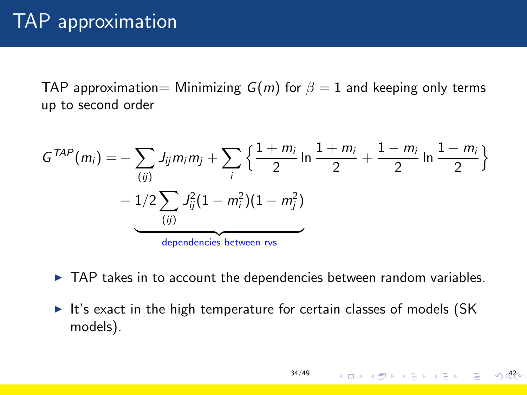### TAP approximation

TAP approximation= Minimizing  $G(m)$  for  $\beta = 1$  and keeping only terms up to second order

$$
G^{TAP}(m_i) = -\sum_{(ij)} J_{ij} m_i m_j + \sum_i \left\{ \frac{1 + m_i}{2} \ln \frac{1 + m_i}{2} + \frac{1 - m_i}{2} \ln \frac{1 - m_i}{2} \right\}
$$

$$
- \underbrace{1/2 \sum_{(ij)} J_{ij}^2 (1 - m_i^2)(1 - m_j^2)}_{\text{dependence between rvs}}
$$

- $\triangleright$  TAP takes in to account the dependencies between random variables.
- $\blacktriangleright$  It's exact in the high temperature for certain classes of models (SK models).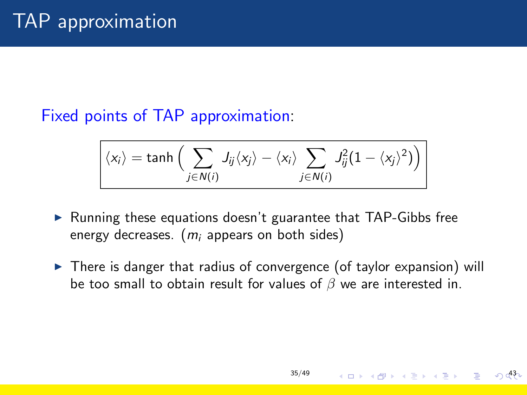#### Fixed points of TAP approximation:

$$
\langle x_i \rangle = \tanh \Big( \sum_{j \in N(i)} J_{ij} \langle x_j \rangle - \langle x_i \rangle \sum_{j \in N(i)} J_{ij}^2 (1 - \langle x_j \rangle^2) \Big)
$$

- $\triangleright$  Running these equations doesn't guarantee that TAP-Gibbs free energy decreases.  $(m<sub>i</sub>$  appears on both sides)
- $\triangleright$  There is danger that radius of convergence (of taylor expansion) will be too small to obtain result for values of  $\beta$  we are interested in.

43

**K ロ メ イ 団 メ ス ミ メ ス ヨ メ ニ ヨ**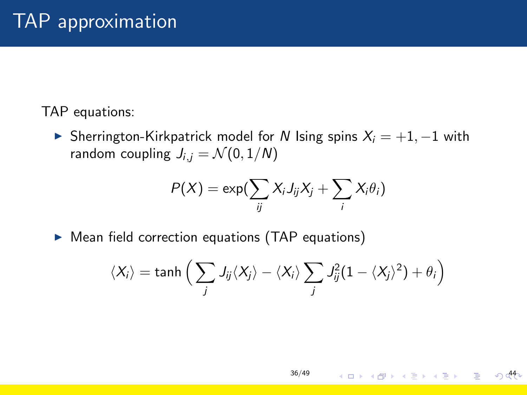#### TAP equations:

► Sherrington-Kirkpatrick model for N Ising spins  $X_i = +1, -1$  with random coupling  $J_{i,j} = \mathcal{N}(0, 1/N)$ 

$$
P(X) = \exp(\sum_{ij} X_i J_{ij} X_j + \sum_i X_i \theta_i)
$$

 $\triangleright$  Mean field correction equations (TAP equations)

$$
\langle X_i \rangle = \tanh \Big( \sum_j J_{ij} \langle X_j \rangle - \langle X_i \rangle \sum_j J_{ij}^2 (1 - \langle X_j \rangle^2) + \theta_i \Big)
$$

4 ロ → 4 @ → 4 블 → 4 블 → 1 블 → 9 **4 ↑**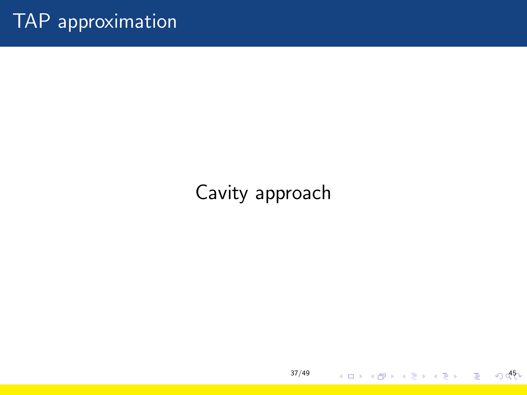# Cavity approach

4 ロ ▶ 4 @ ▶ 4 블 ▶ 4 블 ▶ │ 블 │ め d<sup>45</sup>V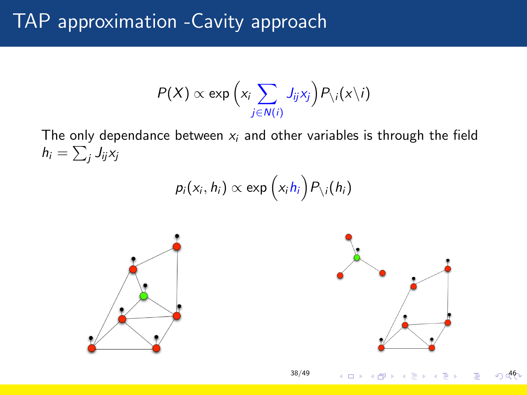# TAP approximation -Cavity approach

$$
P(X) \propto \exp\Big(x_i \sum_{j \in N(i)} J_{ij} x_j\Big) P_{\setminus i}(x \setminus i)
$$

The only dependance between  $x_i$  and other variables is through the field  $h_i = \sum_j J_{ij}$ xj

$$
p_i(x_i, h_i) \propto \exp\left(x_i h_i\right) P_{\setminus i}(h_i)
$$

[38/49](#page-0-0)



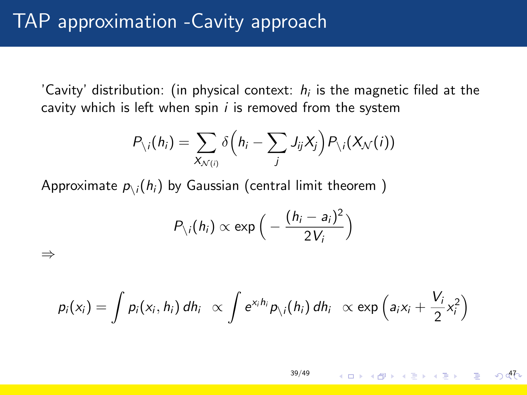⇒

'Cavity' distribution: (in physical context:  $h_i$  is the magnetic filed at the cavity which is left when spin  $i$  is removed from the system

$$
P_{\setminus i}(h_i) = \sum_{X_{\mathcal{N}(i)}} \delta\left(h_i - \sum_j J_{ij}X_j\right) P_{\setminus i}(X_{\mathcal{N}}(i))
$$

Approximate  $p_{\backslash i}(h_i)$  by Gaussian (central limit theorem )

$$
P_{\setminus i}(h_i) \propto \exp\Big(-\frac{(h_i-a_i)^2}{2V_i}\Big)
$$

 $p_i(x_i) = \int p_i(x_i, h_i) dh_i \propto \int e^{x_i h_i} p_{\setminus i}(h_i) dh_i \propto \exp\left(a_i x_i + \frac{V_i}{2}\right)$  $\frac{V_i}{2}x_i^2\right)$ 

> [39/49](#page-0-0)  $4\Box$   $\rightarrow$   $4\Box$   $\rightarrow$   $4\Box$   $\rightarrow$   $4\Box$   $\rightarrow$   $4\Box$   $\rightarrow$   $4\Box$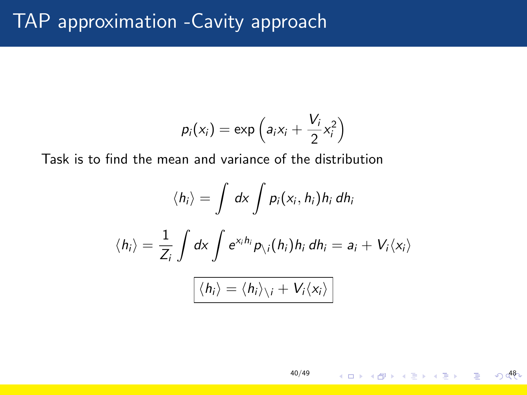# TAP approximation -Cavity approach

$$
p_i(x_i) = \exp\left(a_i x_i + \frac{V_i}{2} x_i^2\right)
$$

Task is to find the mean and variance of the distribution

$$
\langle h_i \rangle = \int dx \int p_i(x_i, h_i) h_i dh_i
$$

$$
\langle h_i \rangle = \frac{1}{Z_i} \int dx \int e^{x_i h_i} p_{\setminus i}(h_i) h_i dh_i = a_i + V_i \langle x_i \rangle
$$

$$
\boxed{\langle h_i \rangle = \langle h_i \rangle_{\setminus i} + V_i \langle x_i \rangle}
$$

[40/49](#page-0-0)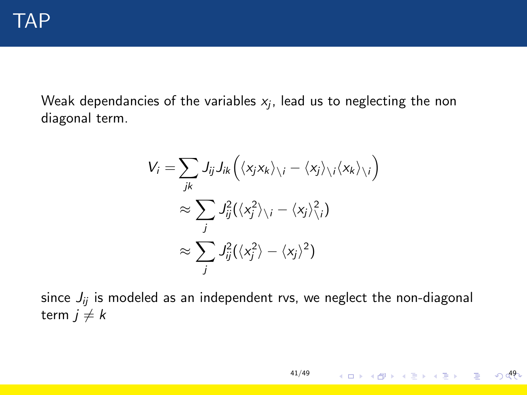Weak dependancies of the variables  $\mathsf{x}_{j}$ , lead us to neglecting the non diagonal term.

$$
V_i = \sum_{jk} J_{ij} J_{ik} (\langle x_j x_k \rangle_{\setminus i} - \langle x_j \rangle_{\setminus i} \langle x_k \rangle_{\setminus i})
$$
  

$$
\approx \sum_j J_{ij}^2 (\langle x_j^2 \rangle_{\setminus i} - \langle x_j \rangle_{\setminus i}^2)
$$
  

$$
\approx \sum_j J_{ij}^2 (\langle x_j^2 \rangle - \langle x_j \rangle^2)
$$

since  $J_{ii}$  is modeled as an independent rvs, we neglect the non-diagonal term  $j \neq k$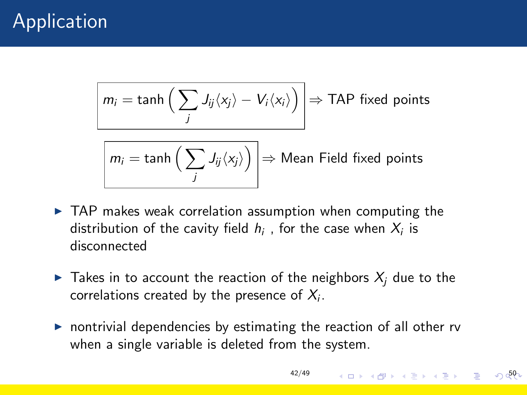# Application

$$
\boxed{m_i = \tanh\Big(\sum_j J_{ij}\langle x_j \rangle - V_i \langle x_i \rangle\Big)} \Rightarrow \text{TAP fixed points}
$$

$$
m_i = \tanh\left(\sum_j J_{ij}\langle x_j \rangle\right) \Rightarrow \text{Mean Field fixed points}
$$

- $\triangleright$  TAP makes weak correlation assumption when computing the distribution of the cavity field  $h_i$  , for the case when  $X_i$  is disconnected
- $\blacktriangleright$  Takes in to account the reaction of the neighbors  $X_i$  due to the correlations created by the presence of  $X_i$ .
- $\triangleright$  nontrivial dependencies by estimating the reaction of all other rv when a single variable is deleted from the system.

[42/49](#page-0-0) 50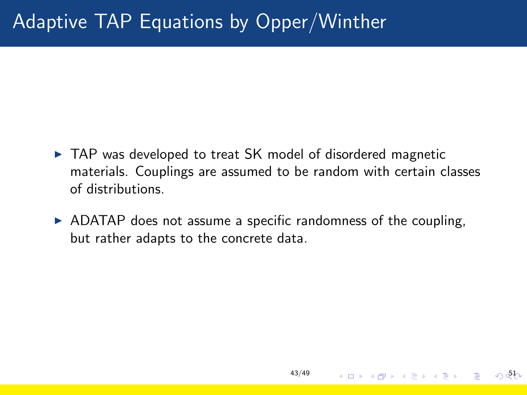# Adaptive TAP Equations by Opper/Winther

- $\triangleright$  TAP was developed to treat SK model of disordered magnetic materials. Couplings are assumed to be random with certain classes of distributions.
- $\triangleright$  ADATAP does not assume a specific randomness of the coupling, but rather adapts to the concrete data.

4 ロ → 4 @ → 4 블 → 4 블 → - 블 → 9 QQ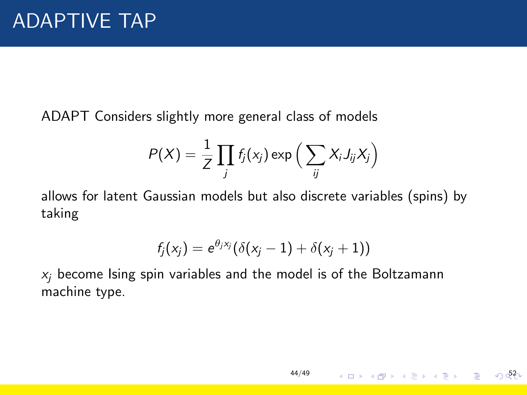ADAPT Considers slightly more general class of models

$$
P(X) = \frac{1}{Z} \prod_j f_j(x_j) \exp \Big( \sum_{ij} X_i J_{ij} X_j \Big)
$$

allows for latent Gaussian models but also discrete variables (spins) by taking

$$
f_j(x_j) = e^{\theta_j x_j} (\delta(x_j-1) + \delta(x_j+1))
$$

[44/49](#page-0-0)

K ロ > K @ ▶ K 를 > K 를 > → 를 → ⊙ Q 2

 $x_i$  become Ising spin variables and the model is of the Boltzamann machine type.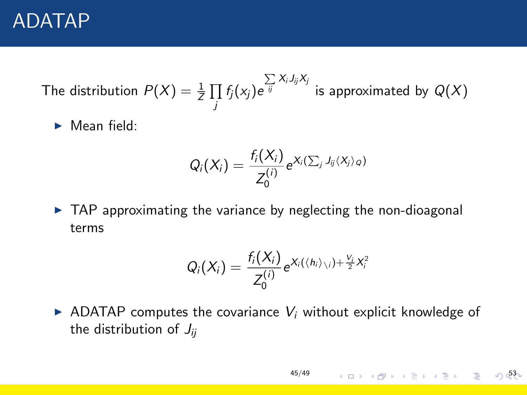### ADATAP

The distribution  $P(X) = \frac{1}{Z} \prod_{i=1}^{Z} P(i)$  $\prod\limits_j f_j(x_j) \mathrm e^{\int\limits_{ij} \sum\limits_j X_i J_{ij} X_j}$  is approximated by  $Q(X)$ 

 $\blacktriangleright$  Mean field:

$$
Q_i(X_i) = \frac{f_i(X_i)}{Z_0^{(i)}} e^{X_i(\sum_j J_{ij}(X_j)_{\mathcal{Q}})}
$$

 $\triangleright$  TAP approximating the variance by neglecting the non-dioagonal terms

$$
Q_i(X_i) = \frac{f_i(X_i)}{Z_0^{(i)}} e^{X_i(\langle h_i \rangle_{\setminus i}) + \frac{V_i}{2}X_i^2}
$$

 $\triangleright$  ADATAP computes the covariance  $V_i$  without explicit knowledge of the distribution of  $J_{ii}$ 

[45/49](#page-0-0)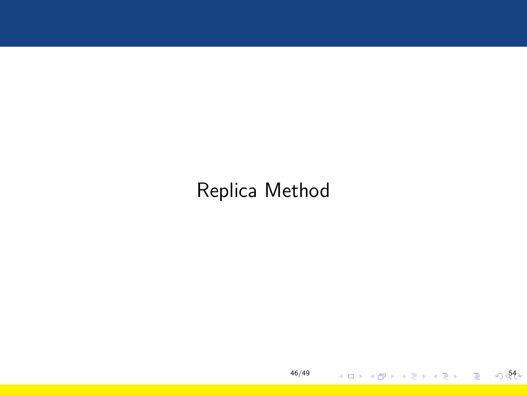# Replica Method

[46/49](#page-0-0)

4 ロ ▶ ( @ ) ( 홍 ) ( 홍 ) - 홍 - ◇ Q{>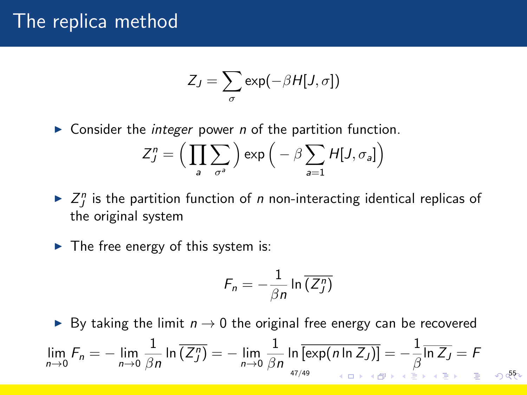### The replica method

$$
Z_J = \sum_{\sigma} \exp(-\beta H[J,\sigma])
$$

 $\triangleright$  Consider the *integer* power *n* of the partition function.

$$
Z_J^n = \Big(\prod_a \sum_{\sigma^a} \Big) \exp\Big(-\beta \sum_{a=1} H[J, \sigma_a]\Big)
$$

- $\blacktriangleright$   $Z_j^n$  is the partition function of *n* non-interacting identical replicas of the original system
- $\blacktriangleright$  The free energy of this system is:

$$
F_n = -\frac{1}{\beta n} \ln \overline{(Z_j^n)}
$$

► By taking the limit  $n \to 0$  the original free energy can be recovered

$$
\lim_{n\to 0} F_n = -\lim_{n\to 0} \frac{1}{\beta n} \ln \overline{(Z^n_j)} = -\lim_{n\to 0} \frac{1}{\beta n} \ln \overline{[\exp(n \ln Z_j)]} = -\frac{1}{\beta} \overline{\ln Z_j} = F
$$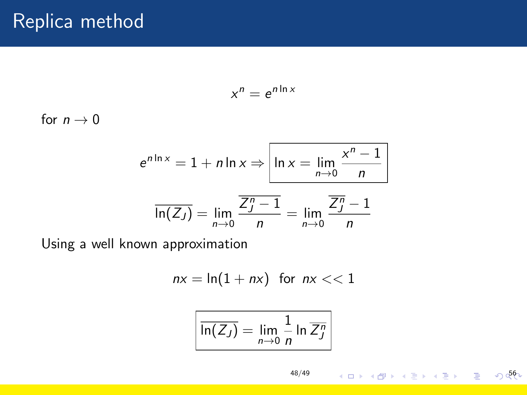$$
x^n=e^{n\ln x}
$$

for  $n \to 0$ 

$$
e^{n \ln x} = 1 + n \ln x \Rightarrow \boxed{\ln x = \lim_{n \to 0} \frac{x^n - 1}{n}}
$$

$$
\overline{\ln(Z_J)} = \lim_{n \to 0} \frac{\overline{Z_J^n - 1}}{n} = \lim_{n \to 0} \frac{\overline{Z_J^n - 1}}{n}
$$

Using a well known approximation

$$
nx = \ln(1 + nx) \text{ for } nx << 1
$$

$$
\boxed{\overline{\ln(Z_J)}} = \lim_{n \to 0} \frac{1}{n} \ln \overline{Z_J^n}
$$

[48/49](#page-0-0)

イロト (個)トイ目ト (目)トー目 - のQQ